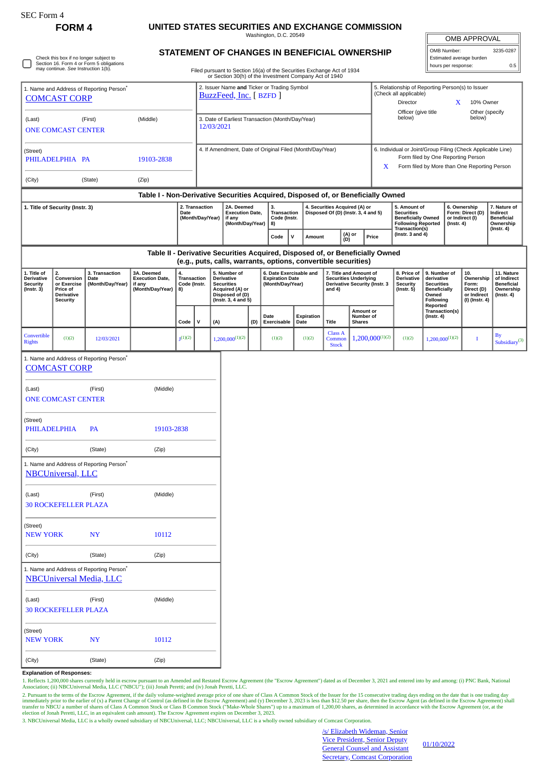## **FORM 4 UNITED STATES SECURITIES AND EXCHANGE COMMISSION**

Washington, D.C. 20549

| OMB APPROVAL             |           |  |  |  |  |  |  |  |  |
|--------------------------|-----------|--|--|--|--|--|--|--|--|
| OMB Number:              | 3235-0287 |  |  |  |  |  |  |  |  |
| Estimated average burden |           |  |  |  |  |  |  |  |  |

Check this box if no longer subject to Section 16. Form 4 or Form 5 obligations may continue. *See* Instruction 1(b).

**STATEMENT OF CHANGES IN BENEFICIAL OWNERSHIP**

|                                                                             | may continue. See Instruction 1(b).                                                    |                                                                                                                                                                                                                      |                                                                                  |                                         |                                                                                                                                                                                                                          |                                                                                                                                                 |     |                                                                       | Filed pursuant to Section 16(a) of the Securities Exchange Act of 1934 |                                          |                                                                                         |                                                                                                                                                        |                                                                         |                                                                                              | hours per response: |                                                                          | 0.5                                                                             |
|-----------------------------------------------------------------------------|----------------------------------------------------------------------------------------|----------------------------------------------------------------------------------------------------------------------------------------------------------------------------------------------------------------------|----------------------------------------------------------------------------------|-----------------------------------------|--------------------------------------------------------------------------------------------------------------------------------------------------------------------------------------------------------------------------|-------------------------------------------------------------------------------------------------------------------------------------------------|-----|-----------------------------------------------------------------------|------------------------------------------------------------------------|------------------------------------------|-----------------------------------------------------------------------------------------|--------------------------------------------------------------------------------------------------------------------------------------------------------|-------------------------------------------------------------------------|----------------------------------------------------------------------------------------------|---------------------|--------------------------------------------------------------------------|---------------------------------------------------------------------------------|
| 1. Name and Address of Reporting Person <sup>®</sup><br><b>COMCAST CORP</b> |                                                                                        |                                                                                                                                                                                                                      |                                                                                  |                                         | or Section 30(h) of the Investment Company Act of 1940<br>2. Issuer Name and Ticker or Trading Symbol<br>5. Relationship of Reporting Person(s) to Issuer<br>(Check all applicable)<br>BuzzFeed, Inc. [BZFD]<br>Director |                                                                                                                                                 |     |                                                                       |                                                                        |                                          |                                                                                         |                                                                                                                                                        |                                                                         | X.                                                                                           | 10% Owner           |                                                                          |                                                                                 |
| (First)<br>(Middle)<br>(Last)<br><b>ONE COMCAST CENTER</b>                  |                                                                                        |                                                                                                                                                                                                                      |                                                                                  |                                         | 3. Date of Earliest Transaction (Month/Day/Year)<br>12/03/2021                                                                                                                                                           |                                                                                                                                                 |     |                                                                       |                                                                        |                                          |                                                                                         | Officer (give title<br>Other (specify<br>below)<br>below)                                                                                              |                                                                         |                                                                                              |                     |                                                                          |                                                                                 |
| (Street)<br>PHILADELPHIA PA<br>19103-2838                                   |                                                                                        |                                                                                                                                                                                                                      |                                                                                  |                                         | 4. If Amendment, Date of Original Filed (Month/Day/Year)                                                                                                                                                                 |                                                                                                                                                 |     |                                                                       |                                                                        |                                          |                                                                                         | 6. Individual or Joint/Group Filing (Check Applicable Line)<br>Form filed by One Reporting Person<br>Form filed by More than One Reporting Person<br>X |                                                                         |                                                                                              |                     |                                                                          |                                                                                 |
| (City)<br>(State)<br>(Zip)                                                  |                                                                                        |                                                                                                                                                                                                                      |                                                                                  |                                         |                                                                                                                                                                                                                          |                                                                                                                                                 |     |                                                                       |                                                                        |                                          |                                                                                         |                                                                                                                                                        |                                                                         |                                                                                              |                     |                                                                          |                                                                                 |
|                                                                             |                                                                                        |                                                                                                                                                                                                                      | Table I - Non-Derivative Securities Acquired, Disposed of, or Beneficially Owned |                                         | 2. Transaction                                                                                                                                                                                                           | 2A. Deemed                                                                                                                                      |     | 3.                                                                    |                                                                        |                                          |                                                                                         |                                                                                                                                                        | 5. Amount of                                                            |                                                                                              | 6. Ownership        |                                                                          | 7. Nature of                                                                    |
| 1. Title of Security (Instr. 3)                                             |                                                                                        |                                                                                                                                                                                                                      | Date                                                                             | (Month/Day/Year)                        | if any                                                                                                                                                                                                                   | <b>Execution Date,</b><br>(Month/Day/Year)                                                                                                      |     | <b>Transaction</b><br>Code (Instr.                                    | 4. Securities Acquired (A) or<br>Disposed Of (D) (Instr. 3, 4 and 5)   |                                          |                                                                                         | <b>Securities</b><br><b>Beneficially Owned</b><br><b>Following Reported</b><br>Transaction(s)                                                          |                                                                         | or Indirect (I)<br>$($ Instr. 4 $)$                                                          | Form: Direct (D)    | Indirect<br><b>Beneficial</b><br>Ownership<br>$($ Instr. 4 $)$           |                                                                                 |
|                                                                             |                                                                                        |                                                                                                                                                                                                                      |                                                                                  |                                         |                                                                                                                                                                                                                          |                                                                                                                                                 |     | Code<br>V                                                             | Amount                                                                 | (A) or<br>(D)                            |                                                                                         | Price                                                                                                                                                  | (Instr. $3$ and $4$ )                                                   |                                                                                              |                     |                                                                          |                                                                                 |
|                                                                             |                                                                                        |                                                                                                                                                                                                                      |                                                                                  |                                         |                                                                                                                                                                                                                          | Table II - Derivative Securities Acquired, Disposed of, or Beneficially Owned<br>(e.g., puts, calls, warrants, options, convertible securities) |     |                                                                       |                                                                        |                                          |                                                                                         |                                                                                                                                                        |                                                                         |                                                                                              |                     |                                                                          |                                                                                 |
| 1. Title of<br>2.<br>Derivative<br><b>Security</b><br>$($ Instr. $3)$       | Conversion<br>or Exercise<br>Price of<br>Derivative<br><b>Security</b>                 | 3. Transaction<br>Date<br>(Month/Day/Year)                                                                                                                                                                           | 3A. Deemed<br><b>Execution Date,</b><br>if any<br>(Month/Day/Year)               | 4.<br>Transaction<br>Code (Instr.<br>8) |                                                                                                                                                                                                                          | 5. Number of<br><b>Derivative</b><br><b>Securities</b><br>Acquired (A) or<br>Disposed of (D)<br>$($ Instr. 3, 4 and 5)                          |     | 6. Date Exercisable and<br><b>Expiration Date</b><br>(Month/Day/Year) |                                                                        | and $4$ )                                | 7. Title and Amount of<br><b>Securities Underlying</b><br>Derivative Security (Instr. 3 |                                                                                                                                                        | 8. Price of<br><b>Derivative</b><br><b>Security</b><br>$($ Instr. 5 $)$ | 9. Number of<br>derivative<br><b>Securities</b><br><b>Beneficially</b><br>Owned<br>Following |                     | 10.<br>Ownership<br>Form:<br>Direct (D)<br>or Indirect<br>(I) (Instr. 4) | 11. Nature<br>of Indirect<br><b>Beneficial</b><br>Ownership<br>$($ lnstr. 4 $)$ |
|                                                                             |                                                                                        |                                                                                                                                                                                                                      |                                                                                  | Code                                    | $\mathsf{v}$                                                                                                                                                                                                             | (A)                                                                                                                                             | (D) | Date<br>Exercisable                                                   | Expiration<br>Date                                                     | Title                                    | Amount or<br>Number of<br><b>Shares</b>                                                 |                                                                                                                                                        |                                                                         | Reported<br>Transaction(s)<br>$($ Instr. 4 $)$                                               |                     |                                                                          |                                                                                 |
| Convertible<br><b>Rights</b>                                                | (1)(2)                                                                                 | 12/03/2021                                                                                                                                                                                                           |                                                                                  | $J^{(1)(2)}$                            |                                                                                                                                                                                                                          | $1,200,000^{(1)(2)}$                                                                                                                            |     | (1)(2)                                                                | (1)(2)                                                                 | <b>Class A</b><br>Common<br><b>Stock</b> |                                                                                         | $1,200,000^{(1)(2)}$                                                                                                                                   | (1)(2)                                                                  | $1,200,000^{(1)(2)}$                                                                         |                     | П                                                                        | By<br>Subsidiary <sup>(3)</sup>                                                 |
| (Last)<br>(Street)<br><b>PHILADELPHIA</b><br>(City)                         | <b>COMCAST CORP</b><br><b>ONE COMCAST CENTER</b>                                       | (First)                                                                                                                                                                                                              | (Middle)                                                                         |                                         |                                                                                                                                                                                                                          |                                                                                                                                                 |     |                                                                       |                                                                        |                                          |                                                                                         |                                                                                                                                                        |                                                                         |                                                                                              |                     |                                                                          |                                                                                 |
| (Last)<br>(Street)<br><b>NEW YORK</b><br>(City)<br>(Last)<br>(Street)       | <b>NBCUniversal, LLC</b><br><b>30 ROCKEFELLER PLAZA</b><br><b>30 ROCKEFELLER PLAZA</b> | <b>PA</b><br>(State)<br>1. Name and Address of Reporting Person <sup>®</sup><br>(First)<br><b>NY</b><br>(State)<br>1. Name and Address of Reporting Person <sup>®</sup><br><b>NBCUniversal Media, LLC</b><br>(First) | 19103-2838<br>(Zip)<br>(Middle)<br>10112<br>(Zip)<br>(Middle)                    |                                         |                                                                                                                                                                                                                          |                                                                                                                                                 |     |                                                                       |                                                                        |                                          |                                                                                         |                                                                                                                                                        |                                                                         |                                                                                              |                     |                                                                          |                                                                                 |
| <b>NEW YORK</b><br>(City)                                                   |                                                                                        | <b>NY</b><br>(State)                                                                                                                                                                                                 | 10112<br>(Zip)                                                                   |                                         |                                                                                                                                                                                                                          |                                                                                                                                                 |     |                                                                       |                                                                        |                                          |                                                                                         |                                                                                                                                                        |                                                                         |                                                                                              |                     |                                                                          |                                                                                 |

1. Reflects 1,200,000 shares currently held in escrow pursuant to an Amended and Restated Escrow Agreement (the "Escrow Agreement") dated as of December 3, 2021 and entered into by and among: (i) PNC Bank, National<br>Associa

2. Pursuant to the terms of the Escrow Agreement, if the daily volume-weighted average price of one share of Class A Common Stock of the Issuer for the 15 consecutive trading days ending days ending on the date that is one

3. NBCUniversal Media, LLC is a wholly owned subsidiary of NBCUniversal, LLC; NBCUniversal, LLC is a wholly owned subsidiary of Comcast Corporation.

/s/ Elizabeth Wideman, Senior Vice President, Senior Deputy General Counsel and Assistant **Secretary, Comcast Corporation** 

01/10/2022